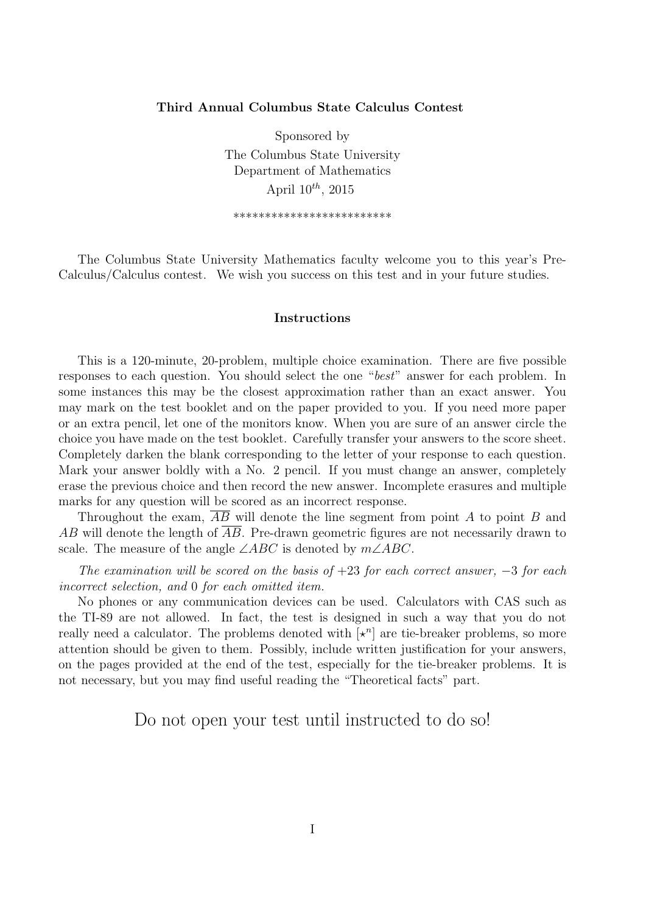## **Third Annual Columbus State Calculus Contest**

Sponsored by The Columbus State University Department of Mathematics April 10*th*, 2015

\*\*\*\*\*\*\*\*\*\*\*\*\*\*\*\*\*\*\*\*\*\*\*\*\*

The Columbus State University Mathematics faculty welcome you to this year's Pre-Calculus/Calculus contest. We wish you success on this test and in your future studies.

## **Instructions**

This is a 120-minute, 20-problem, multiple choice examination. There are five possible responses to each question. You should select the one "*best*" answer for each problem. In some instances this may be the closest approximation rather than an exact answer. You may mark on the test booklet and on the paper provided to you. If you need more paper or an extra pencil, let one of the monitors know. When you are sure of an answer circle the choice you have made on the test booklet. Carefully transfer your answers to the score sheet. Completely darken the blank corresponding to the letter of your response to each question. Mark your answer boldly with a No. 2 pencil. If you must change an answer, completely erase the previous choice and then record the new answer. Incomplete erasures and multiple marks for any question will be scored as an incorrect response.

Throughout the exam, *AB* will denote the line segment from point *A* to point *B* and *AB* will denote the length of *AB*. Pre-drawn geometric figures are not necessarily drawn to scale. The measure of the angle ∠*ABC* is denoted by *m*∠*ABC*.

*The examination will be scored on the basis of* +23 *for each correct answer, −*3 *for each incorrect selection, and* 0 *for each omitted item.*

No phones or any communication devices can be used. Calculators with CAS such as the TI-89 are not allowed. In fact, the test is designed in such a way that you do not really need a calculator. The problems denoted with  $\left[\star^n\right]$  are tie-breaker problems, so more attention should be given to them. Possibly, include written justification for your answers, on the pages provided at the end of the test, especially for the tie-breaker problems. It is not necessary, but you may find useful reading the "Theoretical facts" part.

Do not open your test until instructed to do so!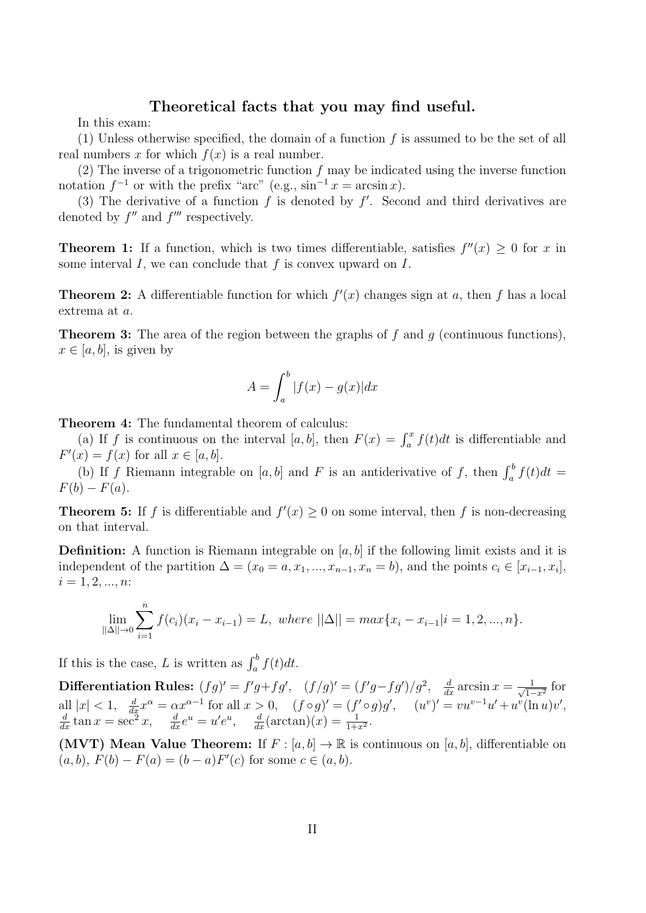## **Theoretical facts that you may find useful.**

In this exam:

(1) Unless otherwise specified, the domain of a function *f* is assumed to be the set of all real numbers  $x$  for which  $f(x)$  is a real number.

(2) The inverse of a trigonometric function *f* may be indicated using the inverse function notation  $f^{-1}$  or with the prefix "arc" (e.g.,  $\sin^{-1} x = \arcsin x$ ).

(3) The derivative of a function  $f$  is denoted by  $f'$ . Second and third derivatives are denoted by  $f''$  and  $f'''$  respectively.

**Theorem 1:** If a function, which is two times differentiable, satisfies  $f''(x) \geq 0$  for *x* in some interval *I*, we can conclude that *f* is convex upward on *I*.

**Theorem 2:** A differentiable function for which  $f'(x)$  changes sign at *a*, then *f* has a local extrema at *a*.

**Theorem 3:** The area of the region between the graphs of *f* and *g* (continuous functions),  $x \in [a, b]$ , is given by

$$
A = \int_{a}^{b} |f(x) - g(x)| dx
$$

**Theorem 4:** The fundamental theorem of calculus:

(a) If *f* is continuous on the interval [a, b], then  $F(x) = \int_a^x f(t)dt$  is differentiable and  $F'(x) = f(x)$  for all  $x \in [a, b]$ .

(b) If *f* Riemann integrable on [*a, b*] and *F* is an antiderivative of *f*, then  $\int_a^b f(t)dt =$  $F(b) - F(a)$ .

**Theorem 5:** If *f* is differentiable and  $f'(x) \ge 0$  on some interval, then *f* is non-decreasing on that interval.

**Definition:** A function is Riemann integrable on [a, b] if the following limit exists and it is independent of the partition  $\Delta = (x_0 = a, x_1, ..., x_{n-1}, x_n = b)$ , and the points  $c_i \in [x_{i-1}, x_i]$ ,  $i = 1, 2, ..., n$ 

$$
\lim_{||\Delta|| \to 0} \sum_{i=1}^{n} f(c_i)(x_i - x_{i-1}) = L, \text{ where } ||\Delta|| = \max\{x_i - x_{i-1}|i = 1, 2, ..., n\}.
$$

If this is the case, *L* is written as  $\int_a^b f(t)dt$ .

**Differentiation Rules:**  $(fg)' = f'g + fg'$ ,  $(f/g)' = (f'g - fg')/g^2$ ,  $\frac{d}{dx} \arcsin x = \frac{1}{\sqrt{1-\frac{1}{\sqrt{1-\frac{1}{\sqrt{1-\frac{1}{\sqrt{1-\frac{1}{\sqrt{1-\frac{1}{\sqrt{1-\frac{1}{\sqrt{1-\frac{1}{\sqrt{1-\frac{1}{\sqrt{1-\frac{1}{\sqrt{1-\frac{1}{\sqrt{1-\frac{1}{\sqrt{1-\frac{1}{\sqrt{1-\frac{1}{\sqrt{1-\frac{1}{\sqrt{1-\frac{1}{\sqrt{1-\frac{1}{$  $\frac{1}{1-x^2}$  for all  $|x| < 1$ ,  $\frac{d}{dx}x^{\alpha} = \alpha x^{\alpha-1}$  for all  $x > 0$ ,  $(f \circ g)' = (f' \circ g)g'$ ,  $(u'')' = vu^{v-1}u' + u^{v}(\ln u)v'$ ,  $\frac{d}{dx} \tan x = \sec^2 x$ ,  $\frac{d}{dx} e^u = u'e^u$ ,  $\frac{d}{dx} (\arctan)(x) = \frac{1}{1+x^2}$ .

**(MVT)** Mean Value Theorem: If  $F : [a, b] \to \mathbb{R}$  is continuous on  $[a, b]$ , differentiable on  $(a, b)$ ,  $F(b) - F(a) = (b - a)F'(c)$  for some  $c \in (a, b)$ .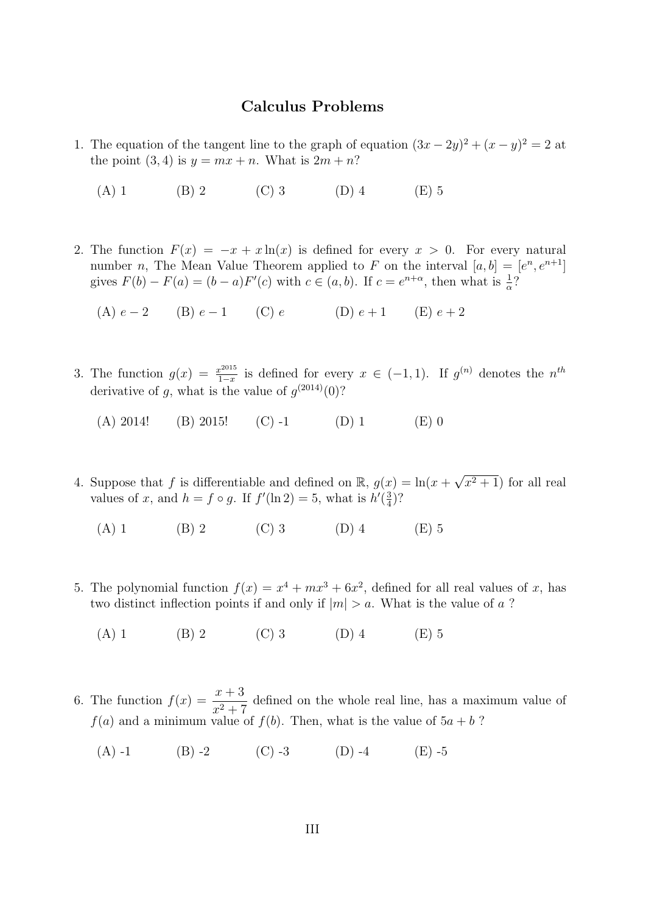## **Calculus Problems**

- 1. The equation of the tangent line to the graph of equation  $(3x 2y)^2 + (x y)^2 = 2$  at the point  $(3, 4)$  is  $y = mx + n$ . What is  $2m + n$ ?
	- (A) 1 (B) 2 (C) 3 (D) 4 (E) 5
- 2. The function  $F(x) = -x + x \ln(x)$  is defined for every  $x > 0$ . For every natural number *n*, The Mean Value Theorem applied to *F* on the interval  $[a, b] = [e^n, e^{n+1}]$ gives  $F(b) - F(a) = (b - a)F'(c)$  with  $c \in (a, b)$ . If  $c = e^{n + \alpha}$ , then what is  $\frac{1}{\alpha}$ ?
	- (A)  $e-2$  (B)  $e-1$  (C)  $e$  (D)  $e+1$  (E)  $e+2$
- 3. The function  $g(x) = \frac{x^{2015}}{1-x}$  $\frac{a^{2015}}{1-x}$  is defined for every  $x \in (-1,1)$ . If  $g^{(n)}$  denotes the  $n^{th}$ derivative of g, what is the value of  $g^{(2014)}(0)$ ?
	- (A) 2014! (B) 2015! (C) -1 (D) 1 (E) 0
- 4. Suppose that *f* is differentiable and defined on  $\mathbb{R}$ ,  $g(x) = \ln(x +$ *√*  $(x^2+1)$  for all real values of *x*, and  $h = f \circ g$ . If  $f'(\ln 2) = 5$ , what is  $h'(\frac{3}{4})$  $\frac{3}{4}$ ?
	- (A) 1 (B) 2 (C) 3 (D) 4 (E) 5
- 5. The polynomial function  $f(x) = x^4 + mx^3 + 6x^2$ , defined for all real values of *x*, has two distinct inflection points if and only if  $|m| > a$ . What is the value of *a*?
	- (A) 1 (B) 2 (C) 3 (D) 4 (E) 5
- 6. The function  $f(x) = \frac{x+3}{x+5}$  $\frac{x+3}{x^2+7}$  defined on the whole real line, has a maximum value of  $f(a)$  and a minimum value of  $f(b)$ . Then, what is the value of  $5a + b$ ?
	- (A) -1 (B) -2 (C) -3 (D) -4 (E) -5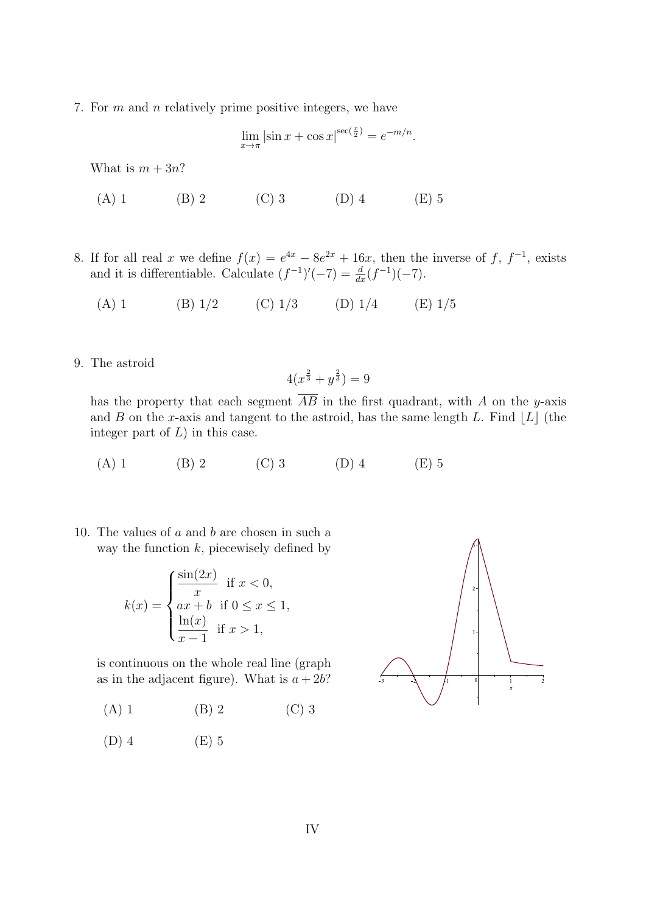7. For *m* and *n* relatively prime positive integers, we have

$$
\lim_{x \to \pi} |\sin x + \cos x|^{ \sec(\frac{x}{2})} = e^{-m/n}.
$$

What is  $m + 3n$ ?

- (A) 1 (B) 2 (C) 3 (D) 4 (E) 5
- 8. If for all real *x* we define  $f(x) = e^{4x} 8e^{2x} + 16x$ , then the inverse of *f*,  $f^{-1}$ , exists and it is differentiable. Calculate  $(f^{-1})'(-7) = \frac{d}{dx}(f^{-1})(-7)$ .
	- (A) 1 (B)  $1/2$  (C)  $1/3$  (D)  $1/4$  (E)  $1/5$
- 9. The astroid

$$
4(x^{\frac{2}{3}} + y^{\frac{2}{3}}) = 9
$$

has the property that each segment  $\overline{AB}$  in the first quadrant, with *A* on the *y*-axis and *B* on the *x*-axis and tangent to the astroid, has the same length *L*. Find  $|L|$  (the integer part of *L*) in this case.

- (A) 1 (B) 2 (C) 3 (D) 4 (E) 5
- 10. The values of *a* and *b* are chosen in such a way the function *k*, piecewisely defined by

$$
k(x) = \begin{cases} \frac{\sin(2x)}{x} & \text{if } x < 0, \\ ax + b & \text{if } 0 \le x \le 1, \\ \frac{\ln(x)}{x - 1} & \text{if } x > 1, \end{cases}
$$

is continuous on the whole real line (graph as in the adjacent figure). What is  $a + 2b$ ?

- (A) 1 (B) 2 (C) 3
- (D) 4 (E) 5

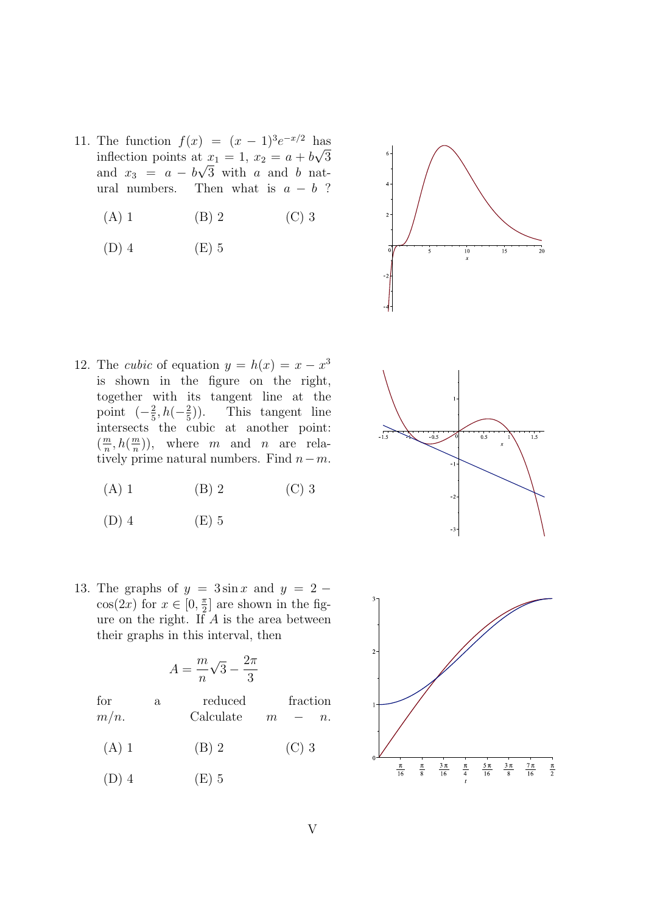- 11. The function  $f(x) = (x 1)^3 e^{-x/2}$  has inflection points at  $x_1 = 1$ ,  $x_2 = a + b\sqrt{3}$ and  $x_3 = a - b\sqrt{3}$  with *a* and *b* natural numbers. Then what is  $a - b$  ?
	- (A) 1 (B) 2 (C) 3
	- (D) 4 (E) 5



- 12. The *cubic* of equation  $y = h(x) = x x^3$ is shown in the figure on the right, together with its tangent line at the point  $(-\frac{2}{5})$  $\frac{2}{5}$ , *h*( $-\frac{2}{5}$ 5 )). This tangent line intersects the cubic at another point:  $\left(\frac{m}{n}\right)$  $\frac{m}{n}, h(\frac{m}{n})$  $\frac{m}{n}$ )), where *m* and *n* are relatively prime natural numbers. Find *n−m*.
	- (A) 1 (B) 2 (C) 3
	- $(D)$  4  $(E)$  5
- 13. The graphs of  $y = 3\sin x$  and  $y = 2$  $cos(2x)$  for  $x \in [0, \frac{\pi}{2}]$  $\frac{\pi}{2}$  are shown in the figure on the right. If *A* is the area between their graphs in this interval, then

$$
A = \frac{m}{n}\sqrt{3} - \frac{2\pi}{3}
$$

for a reduced fraction  $m/n$ . Calculate  $m - n$ .

- (A) 1 (B) 2 (C) 3
- $(D)$  4  $(E)$  5



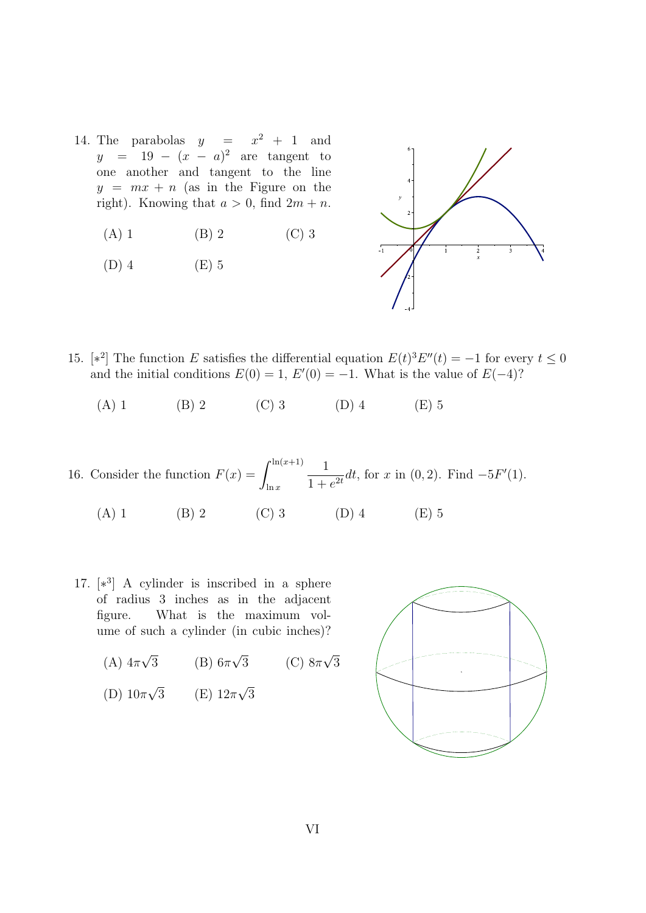- 14. The parabolas  $y = x^2 + 1$  and *y* = 19 *−* (*x − a*) <sup>2</sup> are tangent to one another and tangent to the line  $y = mx + n$  (as in the Figure on the right). Knowing that  $a > 0$ , find  $2m + n$ .
	- (A) 1 (B) 2 (C) 3
	- (D) 4 (E) 5



- 15.  $[*^2]$  The function *E* satisfies the differential equation  $E(t)^3 E''(t) = -1$  for every  $t \leq 0$ and the initial conditions  $E(0) = 1$ ,  $E'(0) = -1$ . What is the value of  $E(-4)$ ?
	- (A) 1 (B) 2 (C) 3 (D) 4 (E) 5
- 16. Consider the function  $F(x) = \int^{\ln(x+1)}$ ln *x* 1  $\frac{1}{1 + e^{2t}}$ *dt*, for *x* in (0, 2). Find  $-5F'(1)$ .
	- (A) 1 (B) 2 (C) 3 (D) 4 (E) 5
- 17. [*∗* 3 ] A cylinder is inscribed in a sphere of radius 3 inches as in the adjacent figure. What is the maximum volume of such a cylinder (in cubic inches)?
	- (A) 4*π √* 3 (B) 6*π √* 3 (C) 8*π √* 3 (D) 10*π √* 3 (E) 12*π √* 3